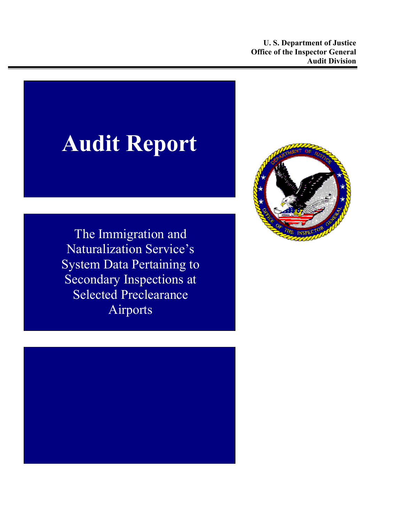# **Audit Report**

The Immigration and Naturalization Service's System Data Pertaining to Secondary Inspections at Selected Preclearance Airports



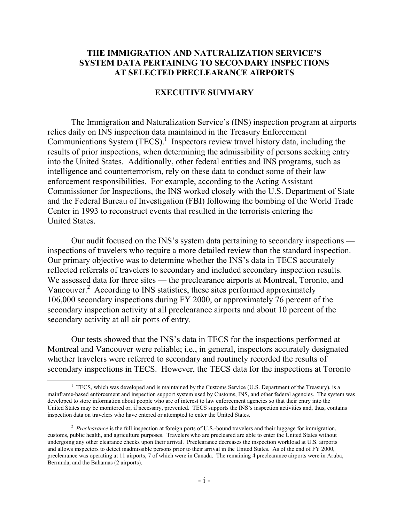## **THE IMMIGRATION AND NATURALIZATION SERVICE'S SYSTEM DATA PERTAINING TO SECONDARY INSPECTIONS AT SELECTED PRECLEARANCE AIRPORTS**

#### **EXECUTIVE SUMMARY**

The Immigration and Naturalization Service's (INS) inspection program at airports relies daily on INS inspection data maintained in the Treasury Enforcement Communications System  $(TECS)^1$  $(TECS)^1$  Inspectors review travel history data, including the results of prior inspections, when determining the admissibility of persons seeking entry into the United States. Additionally, other federal entities and INS programs, such as intelligence and counterterrorism, rely on these data to conduct some of their law enforcement responsibilities. For example, according to the Acting Assistant Commissioner for Inspections, the INS worked closely with the U.S. Department of State and the Federal Bureau of Investigation (FBI) following the bombing of the World Trade Center in 1993 to reconstruct events that resulted in the terrorists entering the United States.

Our audit focused on the INS's system data pertaining to secondary inspections inspections of travelers who require a more detailed review than the standard inspection. Our primary objective was to determine whether the INS's data in TECS accurately reflected referrals of travelers to secondary and included secondary inspection results. We assessed data for three sites — the preclearance airports at Montreal, Toronto, and Vancouver.<sup>2</sup> According to INS statistics, these sites performed approximately 106,000 secondary inspections during FY 2000, or approximately 76 percent of the secondary inspection activity at all preclearance airports and about 10 percent of the secondary activity at all air ports of entry.

Our tests showed that the INS's data in TECS for the inspections performed at Montreal and Vancouver were reliable; i.e., in general, inspectors accurately designated whether travelers were referred to secondary and routinely recorded the results of secondary inspections in TECS. However, the TECS data for the inspections at Toronto

 $\overline{a}$ 

<span id="page-1-0"></span><sup>&</sup>lt;sup>1</sup> TECS, which was developed and is maintained by the Customs Service (U.S. Department of the Treasury), is a mainframe-based enforcement and inspection support system used by Customs, INS, and other federal agencies. The system was developed to store information about people who are of interest to law enforcement agencies so that their entry into the United States may be monitored or, if necessary, prevented. TECS supports the INS's inspection activities and, thus, contains inspection data on travelers who have entered or attempted to enter the United States.

<span id="page-1-1"></span><sup>&</sup>lt;sup>2</sup> Preclearance is the full inspection at foreign ports of U.S.-bound travelers and their luggage for immigration, customs, public health, and agriculture purposes. Travelers who are precleared are able to enter the United States without undergoing any other clearance checks upon their arrival. Preclearance decreases the inspection workload at U.S. airports and allows inspectors to detect inadmissible persons prior to their arrival in the United States. As of the end of FY 2000, preclearance was operating at 11 airports, 7 of which were in Canada. The remaining 4 preclearance airports were in Aruba, Bermuda, and the Bahamas (2 airports).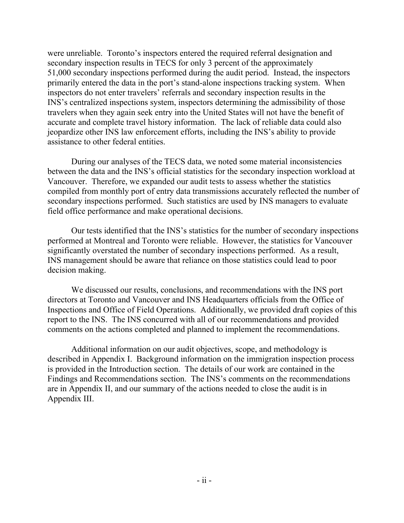were unreliable. Toronto's inspectors entered the required referral designation and secondary inspection results in TECS for only 3 percent of the approximately 51,000 secondary inspections performed during the audit period. Instead, the inspectors primarily entered the data in the port's stand-alone inspections tracking system. When inspectors do not enter travelers' referrals and secondary inspection results in the INS's centralized inspections system, inspectors determining the admissibility of those travelers when they again seek entry into the United States will not have the benefit of accurate and complete travel history information. The lack of reliable data could also jeopardize other INS law enforcement efforts, including the INS's ability to provide assistance to other federal entities.

During our analyses of the TECS data, we noted some material inconsistencies between the data and the INS's official statistics for the secondary inspection workload at Vancouver. Therefore, we expanded our audit tests to assess whether the statistics compiled from monthly port of entry data transmissions accurately reflected the number of secondary inspections performed. Such statistics are used by INS managers to evaluate field office performance and make operational decisions.

Our tests identified that the INS's statistics for the number of secondary inspections performed at Montreal and Toronto were reliable. However, the statistics for Vancouver significantly overstated the number of secondary inspections performed. As a result, INS management should be aware that reliance on those statistics could lead to poor decision making.

We discussed our results, conclusions, and recommendations with the INS port directors at Toronto and Vancouver and INS Headquarters officials from the Office of Inspections and Office of Field Operations. Additionally, we provided draft copies of this report to the INS. The INS concurred with all of our recommendations and provided comments on the actions completed and planned to implement the recommendations.

Additional information on our audit objectives, scope, and methodology is described in Appendix I. Background information on the immigration inspection process is provided in the Introduction section. The details of our work are contained in the Findings and Recommendations section. The INS's comments on the recommendations are in Appendix II, and our summary of the actions needed to close the audit is in Appendix III.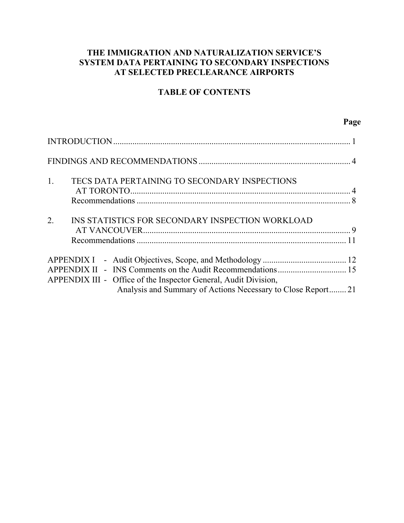# **THE IMMIGRATION AND NATURALIZATION SERVICE'S SYSTEM DATA PERTAINING TO SECONDARY INSPECTIONS AT SELECTED PRECLEARANCE AIRPORTS**

# **TABLE OF CONTENTS**

| $1_{\cdot}$      | TECS DATA PERTAINING TO SECONDARY INSPECTIONS                   |  |
|------------------|-----------------------------------------------------------------|--|
|                  |                                                                 |  |
| $\overline{2}$ . | INS STATISTICS FOR SECONDARY INSPECTION WORKLOAD                |  |
|                  |                                                                 |  |
|                  |                                                                 |  |
|                  |                                                                 |  |
|                  | APPENDIX III - Office of the Inspector General, Audit Division, |  |
|                  | Analysis and Summary of Actions Necessary to Close Report21     |  |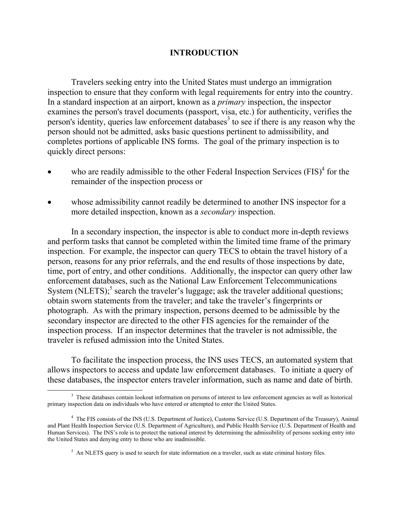## **INTRODUCTION**

Travelers seeking entry into the United States must undergo an immigration inspection to ensure that they conform with legal requirements for entry into the country. In a standard inspection at an airport, known as a *primary* inspection, the inspector examines the person's travel documents (passport, visa, etc.) for authenticity, verifies the person's identity, queries law enforcement databases<sup>[3](#page-4-0)</sup> to see if there is any reason why the person should not be admitted, asks basic questions pertinent to admissibility, and completes portions of applicable INS forms. The goal of the primary inspection is to quickly direct persons:

- who are readily admissible to the other Federal Inspection Services  $(FIS)^4$  $(FIS)^4$  for the remainder of the inspection process or
- whose admissibility cannot readily be determined to another INS inspector for a more detailed inspection, known as a *secondary* inspection.

In a secondary inspection, the inspector is able to conduct more in-depth reviews and perform tasks that cannot be completed within the limited time frame of the primary inspection. For example, the inspector can query TECS to obtain the travel history of a person, reasons for any prior referrals, and the end results of those inspections by date, time, port of entry, and other conditions. Additionally, the inspector can query other law enforcement databases, such as the National Law Enforcement Telecommunications System (NLETS); $<sup>5</sup>$  $<sup>5</sup>$  $<sup>5</sup>$  search the traveler's luggage; ask the traveler additional questions;</sup> obtain sworn statements from the traveler; and take the traveler's fingerprints or photograph. As with the primary inspection, persons deemed to be admissible by the secondary inspector are directed to the other FIS agencies for the remainder of the inspection process. If an inspector determines that the traveler is not admissible, the traveler is refused admission into the United States.

To facilitate the inspection process, the INS uses TECS, an automated system that allows inspectors to access and update law enforcement databases. To initiate a query of these databases, the inspector enters traveler information, such as name and date of birth.

<span id="page-4-0"></span> <sup>3</sup> <sup>3</sup> These databases contain lookout information on persons of interest to law enforcement agencies as well as historical primary inspection data on individuals who have entered or attempted to enter the United States.

<span id="page-4-1"></span><sup>&</sup>lt;sup>4</sup> The FIS consists of the INS (U.S. Department of Justice), Customs Service (U.S. Department of the Treasury), Animal and Plant Health Inspection Service (U.S. Department of Agriculture), and Public Health Service (U.S. Department of Health and Human Services). The INS's role is to protect the national interest by determining the admissibility of persons seeking entry into the United States and denying entry to those who are inadmissible.

<span id="page-4-2"></span> $<sup>5</sup>$  An NLETS query is used to search for state information on a traveler, such as state criminal history files.</sup>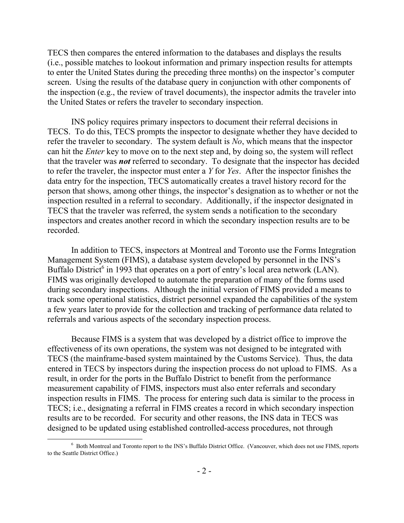TECS then compares the entered information to the databases and displays the results (i.e., possible matches to lookout information and primary inspection results for attempts to enter the United States during the preceding three months) on the inspector's computer screen. Using the results of the database query in conjunction with other components of the inspection (e.g., the review of travel documents), the inspector admits the traveler into the United States or refers the traveler to secondary inspection.

INS policy requires primary inspectors to document their referral decisions in TECS. To do this, TECS prompts the inspector to designate whether they have decided to refer the traveler to secondary. The system default is *No*, which means that the inspector can hit the *Enter* key to move on to the next step and, by doing so, the system will reflect that the traveler was *not* referred to secondary. To designate that the inspector has decided to refer the traveler, the inspector must enter a *Y* for *Yes*. After the inspector finishes the data entry for the inspection, TECS automatically creates a travel history record for the person that shows, among other things, the inspector's designation as to whether or not the inspection resulted in a referral to secondary. Additionally, if the inspector designated in TECS that the traveler was referred, the system sends a notification to the secondary inspectors and creates another record in which the secondary inspection results are to be recorded.

In addition to TECS, inspectors at Montreal and Toronto use the Forms Integration Management System (FIMS), a database system developed by personnel in the INS's Buffalo District<sup>[6](#page-5-0)</sup> in 1993 that operates on a port of entry's local area network (LAN). FIMS was originally developed to automate the preparation of many of the forms used during secondary inspections. Although the initial version of FIMS provided a means to track some operational statistics, district personnel expanded the capabilities of the system a few years later to provide for the collection and tracking of performance data related to referrals and various aspects of the secondary inspection process.

Because FIMS is a system that was developed by a district office to improve the effectiveness of its own operations, the system was not designed to be integrated with TECS (the mainframe-based system maintained by the Customs Service). Thus, the data entered in TECS by inspectors during the inspection process do not upload to FIMS. As a result, in order for the ports in the Buffalo District to benefit from the performance measurement capability of FIMS, inspectors must also enter referrals and secondary inspection results in FIMS. The process for entering such data is similar to the process in TECS; i.e., designating a referral in FIMS creates a record in which secondary inspection results are to be recorded. For security and other reasons, the INS data in TECS was designed to be updated using established controlled-access procedures, not through

<span id="page-5-0"></span> <sup>6</sup> <sup>6</sup> Both Montreal and Toronto report to the INS's Buffalo District Office. (Vancouver, which does not use FIMS, reports to the Seattle District Office.)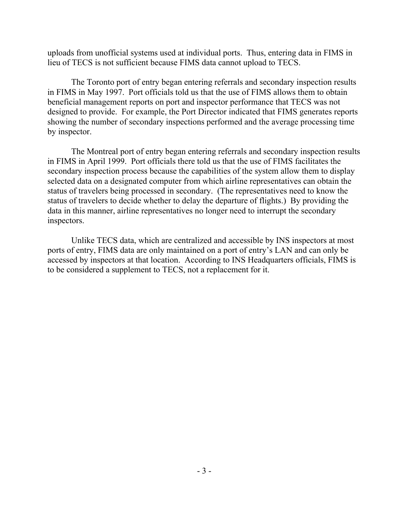uploads from unofficial systems used at individual ports. Thus, entering data in FIMS in lieu of TECS is not sufficient because FIMS data cannot upload to TECS.

The Toronto port of entry began entering referrals and secondary inspection results in FIMS in May 1997. Port officials told us that the use of FIMS allows them to obtain beneficial management reports on port and inspector performance that TECS was not designed to provide. For example, the Port Director indicated that FIMS generates reports showing the number of secondary inspections performed and the average processing time by inspector.

The Montreal port of entry began entering referrals and secondary inspection results in FIMS in April 1999. Port officials there told us that the use of FIMS facilitates the secondary inspection process because the capabilities of the system allow them to display selected data on a designated computer from which airline representatives can obtain the status of travelers being processed in secondary. (The representatives need to know the status of travelers to decide whether to delay the departure of flights.) By providing the data in this manner, airline representatives no longer need to interrupt the secondary inspectors.

Unlike TECS data, which are centralized and accessible by INS inspectors at most ports of entry, FIMS data are only maintained on a port of entry's LAN and can only be accessed by inspectors at that location. According to INS Headquarters officials, FIMS is to be considered a supplement to TECS, not a replacement for it.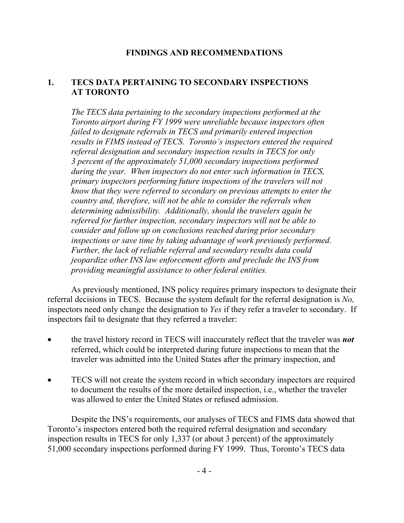# **FINDINGS AND RECOMMENDATIONS**

# **1. TECS DATA PERTAINING TO SECONDARY INSPECTIONS AT TORONTO**

*The TECS data pertaining to the secondary inspections performed at the Toronto airport during FY 1999 were unreliable because inspectors often failed to designate referrals in TECS and primarily entered inspection results in FIMS instead of TECS. Toronto's inspectors entered the required referral designation and secondary inspection results in TECS for only 3 percent of the approximately 51,000 secondary inspections performed during the year. When inspectors do not enter such information in TECS, primary inspectors performing future inspections of the travelers will not know that they were referred to secondary on previous attempts to enter the country and, therefore, will not be able to consider the referrals when determining admissibility. Additionally, should the travelers again be referred for further inspection, secondary inspectors will not be able to consider and follow up on conclusions reached during prior secondary inspections or save time by taking advantage of work previously performed. Further, the lack of reliable referral and secondary results data could jeopardize other INS law enforcement efforts and preclude the INS from providing meaningful assistance to other federal entities.* 

As previously mentioned, INS policy requires primary inspectors to designate their referral decisions in TECS. Because the system default for the referral designation is *No,* inspectors need only change the designation to *Yes* if they refer a traveler to secondary. If inspectors fail to designate that they referred a traveler:

- the travel history record in TECS will inaccurately reflect that the traveler was *not* referred, which could be interpreted during future inspections to mean that the traveler was admitted into the United States after the primary inspection, and
- TECS will not create the system record in which secondary inspectors are required to document the results of the more detailed inspection, i.e., whether the traveler was allowed to enter the United States or refused admission.

Despite the INS's requirements, our analyses of TECS and FIMS data showed that Toronto's inspectors entered both the required referral designation and secondary inspection results in TECS for only 1,337 (or about 3 percent) of the approximately 51,000 secondary inspections performed during FY 1999. Thus, Toronto's TECS data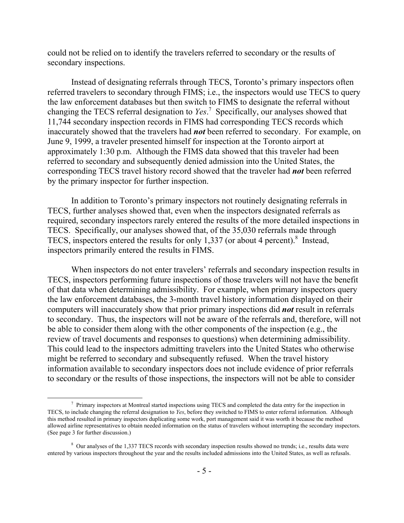could not be relied on to identify the travelers referred to secondary or the results of secondary inspections.

Instead of designating referrals through TECS, Toronto's primary inspectors often referred travelers to secondary through FIMS; i.e., the inspectors would use TECS to query the law enforcement databases but then switch to FIMS to designate the referral without changing the TECS referral designation to *Yes*. [7](#page-8-0) Specifically, our analyses showed that 11,744 secondary inspection records in FIMS had corresponding TECS records which inaccurately showed that the travelers had *not* been referred to secondary. For example, on June 9, 1999, a traveler presented himself for inspection at the Toronto airport at approximately 1:30 p.m. Although the FIMS data showed that this traveler had been referred to secondary and subsequently denied admission into the United States, the corresponding TECS travel history record showed that the traveler had *not* been referred by the primary inspector for further inspection.

In addition to Toronto's primary inspectors not routinely designating referrals in TECS, further analyses showed that, even when the inspectors designated referrals as required, secondary inspectors rarely entered the results of the more detailed inspections in TECS. Specifically, our analyses showed that, of the 35,030 referrals made through TECS, inspectors entered the results for only 1,337 (or about 4 percent).<sup>[8](#page-8-1)</sup> Instead, inspectors primarily entered the results in FIMS.

When inspectors do not enter travelers' referrals and secondary inspection results in TECS, inspectors performing future inspections of those travelers will not have the benefit of that data when determining admissibility. For example, when primary inspectors query the law enforcement databases, the 3-month travel history information displayed on their computers will inaccurately show that prior primary inspections did *not* result in referrals to secondary. Thus, the inspectors will not be aware of the referrals and, therefore, will not be able to consider them along with the other components of the inspection (e.g., the review of travel documents and responses to questions) when determining admissibility. This could lead to the inspectors admitting travelers into the United States who otherwise might be referred to secondary and subsequently refused. When the travel history information available to secondary inspectors does not include evidence of prior referrals to secondary or the results of those inspections, the inspectors will not be able to consider

<span id="page-8-0"></span> <sup>7</sup>  $\frac{1}{2}$  Primary inspectors at Montreal started inspections using TECS and completed the data entry for the inspection in TECS, to include changing the referral designation to *Yes*, before they switched to FIMS to enter referral information. Although this method resulted in primary inspectors duplicating some work, port management said it was worth it because the method allowed airline representatives to obtain needed information on the status of travelers without interrupting the secondary inspectors. (See page 3 for further discussion.)

<span id="page-8-1"></span><sup>&</sup>lt;sup>8</sup> Our analyses of the 1,337 TECS records with secondary inspection results showed no trends; i.e., results data were entered by various inspectors throughout the year and the results included admissions into the United States, as well as refusals.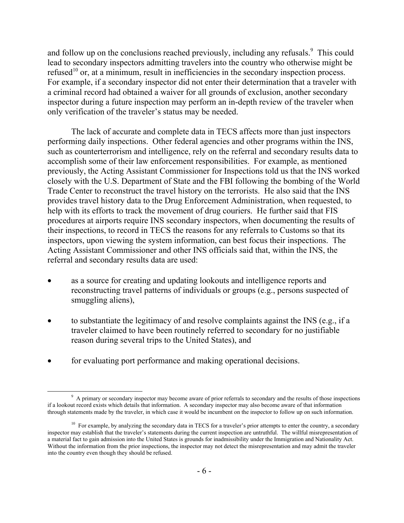and follow up on the conclusions reached previously, including any refusals.<sup>9</sup> This could lead to secondary inspectors admitting travelers into the country who otherwise might be refused<sup>10</sup> or, at a minimum, result in inefficiencies in the secondary inspection process. For example, if a secondary inspector did not enter their determination that a traveler with a criminal record had obtained a waiver for all grounds of exclusion, another secondary inspector during a future inspection may perform an in-depth review of the traveler when only verification of the traveler's status may be needed.

The lack of accurate and complete data in TECS affects more than just inspectors performing daily inspections. Other federal agencies and other programs within the INS, such as counterterrorism and intelligence, rely on the referral and secondary results data to accomplish some of their law enforcement responsibilities. For example, as mentioned previously, the Acting Assistant Commissioner for Inspections told us that the INS worked closely with the U.S. Department of State and the FBI following the bombing of the World Trade Center to reconstruct the travel history on the terrorists. He also said that the INS provides travel history data to the Drug Enforcement Administration, when requested, to help with its efforts to track the movement of drug couriers. He further said that FIS procedures at airports require INS secondary inspectors, when documenting the results of their inspections, to record in TECS the reasons for any referrals to Customs so that its inspectors, upon viewing the system information, can best focus their inspections. The Acting Assistant Commissioner and other INS officials said that, within the INS, the referral and secondary results data are used:

- as a source for creating and updating lookouts and intelligence reports and reconstructing travel patterns of individuals or groups (e.g., persons suspected of smuggling aliens),
- to substantiate the legitimacy of and resolve complaints against the INS (e.g., if a traveler claimed to have been routinely referred to secondary for no justifiable reason during several trips to the United States), and
- for evaluating port performance and making operational decisions.

<span id="page-9-0"></span> $\frac{1}{9}$ <sup>9</sup> A primary or secondary inspector may become aware of prior referrals to secondary and the results of those inspections if a lookout record exists which details that information. A secondary inspector may also become aware of that information through statements made by the traveler, in which case it would be incumbent on the inspector to follow up on such information.

<span id="page-9-1"></span><sup>&</sup>lt;sup>10</sup> For example, by analyzing the secondary data in TECS for a traveler's prior attempts to enter the country, a secondary inspector may establish that the traveler's statements during the current inspection are untruthful. The willful misrepresentation of a material fact to gain admission into the United States is grounds for inadmissibility under the Immigration and Nationality Act. Without the information from the prior inspections, the inspector may not detect the misrepresentation and may admit the traveler into the country even though they should be refused.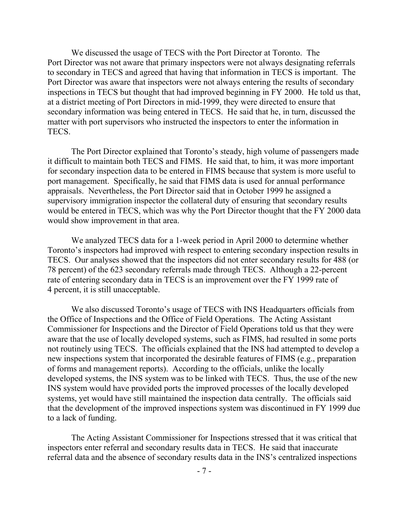We discussed the usage of TECS with the Port Director at Toronto. The Port Director was not aware that primary inspectors were not always designating referrals to secondary in TECS and agreed that having that information in TECS is important. The Port Director was aware that inspectors were not always entering the results of secondary inspections in TECS but thought that had improved beginning in FY 2000. He told us that, at a district meeting of Port Directors in mid-1999, they were directed to ensure that secondary information was being entered in TECS. He said that he, in turn, discussed the matter with port supervisors who instructed the inspectors to enter the information in TECS.

The Port Director explained that Toronto's steady, high volume of passengers made it difficult to maintain both TECS and FIMS. He said that, to him, it was more important for secondary inspection data to be entered in FIMS because that system is more useful to port management. Specifically, he said that FIMS data is used for annual performance appraisals. Nevertheless, the Port Director said that in October 1999 he assigned a supervisory immigration inspector the collateral duty of ensuring that secondary results would be entered in TECS, which was why the Port Director thought that the FY 2000 data would show improvement in that area.

We analyzed TECS data for a 1-week period in April 2000 to determine whether Toronto's inspectors had improved with respect to entering secondary inspection results in TECS. Our analyses showed that the inspectors did not enter secondary results for 488 (or 78 percent) of the 623 secondary referrals made through TECS. Although a 22-percent rate of entering secondary data in TECS is an improvement over the FY 1999 rate of 4 percent, it is still unacceptable.

We also discussed Toronto's usage of TECS with INS Headquarters officials from the Office of Inspections and the Office of Field Operations. The Acting Assistant Commissioner for Inspections and the Director of Field Operations told us that they were aware that the use of locally developed systems, such as FIMS, had resulted in some ports not routinely using TECS. The officials explained that the INS had attempted to develop a new inspections system that incorporated the desirable features of FIMS (e.g., preparation of forms and management reports). According to the officials, unlike the locally developed systems, the INS system was to be linked with TECS. Thus, the use of the new INS system would have provided ports the improved processes of the locally developed systems, yet would have still maintained the inspection data centrally. The officials said that the development of the improved inspections system was discontinued in FY 1999 due to a lack of funding.

The Acting Assistant Commissioner for Inspections stressed that it was critical that inspectors enter referral and secondary results data in TECS. He said that inaccurate referral data and the absence of secondary results data in the INS's centralized inspections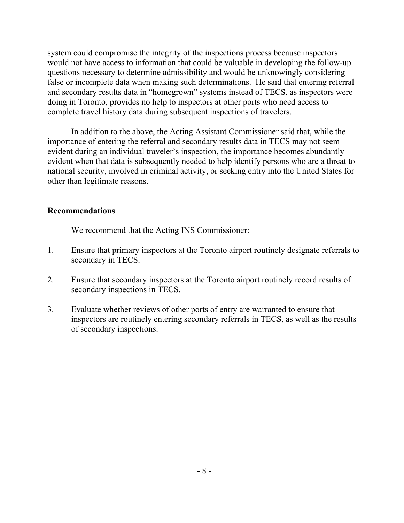system could compromise the integrity of the inspections process because inspectors would not have access to information that could be valuable in developing the follow-up questions necessary to determine admissibility and would be unknowingly considering false or incomplete data when making such determinations. He said that entering referral and secondary results data in "homegrown" systems instead of TECS, as inspectors were doing in Toronto, provides no help to inspectors at other ports who need access to complete travel history data during subsequent inspections of travelers.

In addition to the above, the Acting Assistant Commissioner said that, while the importance of entering the referral and secondary results data in TECS may not seem evident during an individual traveler's inspection, the importance becomes abundantly evident when that data is subsequently needed to help identify persons who are a threat to national security, involved in criminal activity, or seeking entry into the United States for other than legitimate reasons.

## **Recommendations**

We recommend that the Acting INS Commissioner:

- 1. Ensure that primary inspectors at the Toronto airport routinely designate referrals to secondary in TECS.
- 2. Ensure that secondary inspectors at the Toronto airport routinely record results of secondary inspections in TECS.
- 3. Evaluate whether reviews of other ports of entry are warranted to ensure that inspectors are routinely entering secondary referrals in TECS, as well as the results of secondary inspections.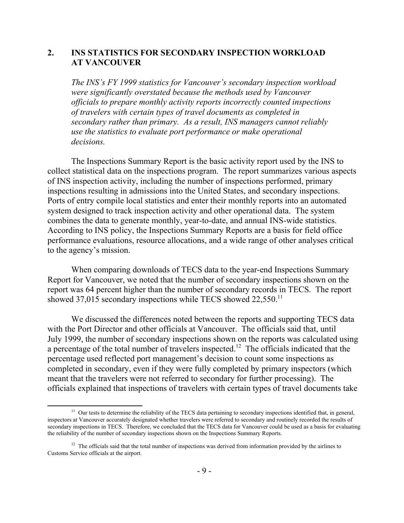## **2. INS STATISTICS FOR SECONDARY INSPECTION WORKLOAD AT VANCOUVER**

*The INS's FY 1999 statistics for Vancouver's secondary inspection workload were significantly overstated because the methods used by Vancouver officials to prepare monthly activity reports incorrectly counted inspections of travelers with certain types of travel documents as completed in secondary rather than primary. As a result, INS managers cannot reliably use the statistics to evaluate port performance or make operational decisions.* 

The Inspections Summary Report is the basic activity report used by the INS to collect statistical data on the inspections program. The report summarizes various aspects of INS inspection activity, including the number of inspections performed, primary inspections resulting in admissions into the United States, and secondary inspections. Ports of entry compile local statistics and enter their monthly reports into an automated system designed to track inspection activity and other operational data. The system combines the data to generate monthly, year-to-date, and annual INS-wide statistics. According to INS policy, the Inspections Summary Reports are a basis for field office performance evaluations, resource allocations, and a wide range of other analyses critical to the agency's mission.

When comparing downloads of TECS data to the year-end Inspections Summary Report for Vancouver, we noted that the number of secondary inspections shown on the report was 64 percent higher than the number of secondary records in TECS. The report showed 37,015 secondary inspections while TECS showed  $22,550$ .<sup>[11](#page-12-0)</sup>

We discussed the differences noted between the reports and supporting TECS data with the Port Director and other officials at Vancouver. The officials said that, until July 1999, the number of secondary inspections shown on the reports was calculated using a percentage of the total number of travelers inspected[.12](#page-12-1) The officials indicated that the percentage used reflected port management's decision to count some inspections as completed in secondary, even if they were fully completed by primary inspectors (which meant that the travelers were not referred to secondary for further processing). The officials explained that inspections of travelers with certain types of travel documents take

 $\overline{a}$ 

<span id="page-12-0"></span> $11$  Our tests to determine the reliability of the TECS data pertaining to secondary inspections identified that, in general, inspectors at Vancouver accurately designated whether travelers were referred to secondary and routinely recorded the results of secondary inspections in TECS. Therefore, we concluded that the TECS data for Vancouver could be used as a basis for evaluating the reliability of the number of secondary inspections shown on the Inspections Summary Reports.

<span id="page-12-1"></span> $12$  The officials said that the total number of inspections was derived from information provided by the airlines to Customs Service officials at the airport.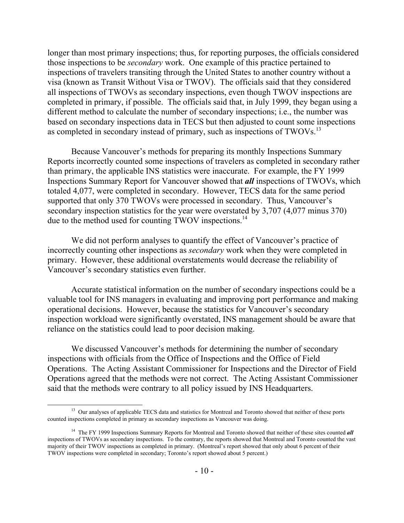longer than most primary inspections; thus, for reporting purposes, the officials considered those inspections to be *secondary* work. One example of this practice pertained to inspections of travelers transiting through the United States to another country without a visa (known as Transit Without Visa or TWOV). The officials said that they considered all inspections of TWOVs as secondary inspections, even though TWOV inspections are completed in primary, if possible. The officials said that, in July 1999, they began using a different method to calculate the number of secondary inspections; i.e., the number was based on secondary inspections data in TECS but then adjusted to count some inspections as completed in secondary instead of primary, such as inspections of TWOVs.<sup>[13](#page-13-0)</sup>

Because Vancouver's methods for preparing its monthly Inspections Summary Reports incorrectly counted some inspections of travelers as completed in secondary rather than primary, the applicable INS statistics were inaccurate. For example, the FY 1999 Inspections Summary Report for Vancouver showed that *all* inspections of TWOVs, which totaled 4,077, were completed in secondary. However, TECS data for the same period supported that only 370 TWOVs were processed in secondary. Thus, Vancouver's secondary inspection statistics for the year were overstated by 3,707 (4,077 minus 370) due to the method used for counting TWOV inspections.<sup>[14](#page-13-1)</sup>

We did not perform analyses to quantify the effect of Vancouver's practice of incorrectly counting other inspections as *secondary* work when they were completed in primary. However, these additional overstatements would decrease the reliability of Vancouver's secondary statistics even further.

Accurate statistical information on the number of secondary inspections could be a valuable tool for INS managers in evaluating and improving port performance and making operational decisions. However, because the statistics for Vancouver's secondary inspection workload were significantly overstated, INS management should be aware that reliance on the statistics could lead to poor decision making.

We discussed Vancouver's methods for determining the number of secondary inspections with officials from the Office of Inspections and the Office of Field Operations. The Acting Assistant Commissioner for Inspections and the Director of Field Operations agreed that the methods were not correct. The Acting Assistant Commissioner said that the methods were contrary to all policy issued by INS Headquarters.

<span id="page-13-0"></span> $\overline{a}$ <sup>13</sup> Our analyses of applicable TECS data and statistics for Montreal and Toronto showed that neither of these ports counted inspections completed in primary as secondary inspections as Vancouver was doing.

<span id="page-13-1"></span><sup>&</sup>lt;sup>14</sup> The FY 1999 Inspections Summary Reports for Montreal and Toronto showed that neither of these sites counted *all* inspections of TWOVs as secondary inspections. To the contrary, the reports showed that Montreal and Toronto counted the vast majority of their TWOV inspections as completed in primary. (Montreal's report showed that only about 6 percent of their TWOV inspections were completed in secondary; Toronto's report showed about 5 percent.)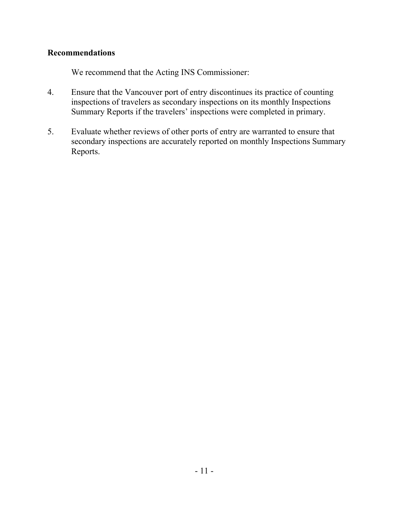# **Recommendations**

We recommend that the Acting INS Commissioner:

- 4. Ensure that the Vancouver port of entry discontinues its practice of counting inspections of travelers as secondary inspections on its monthly Inspections Summary Reports if the travelers' inspections were completed in primary.
- 5. Evaluate whether reviews of other ports of entry are warranted to ensure that secondary inspections are accurately reported on monthly Inspections Summary Reports.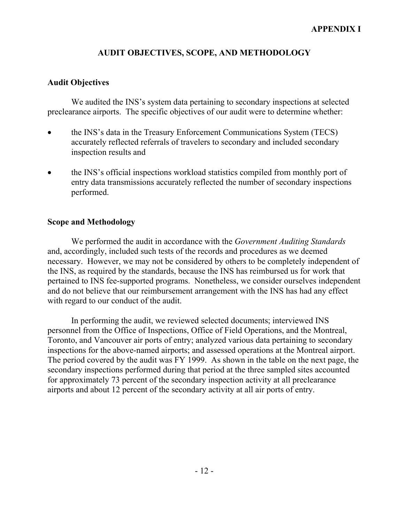# **AUDIT OBJECTIVES, SCOPE, AND METHODOLOGY**

# **Audit Objectives**

We audited the INS's system data pertaining to secondary inspections at selected preclearance airports. The specific objectives of our audit were to determine whether:

- the INS's data in the Treasury Enforcement Communications System (TECS) accurately reflected referrals of travelers to secondary and included secondary inspection results and
- the INS's official inspections workload statistics compiled from monthly port of entry data transmissions accurately reflected the number of secondary inspections performed.

# **Scope and Methodology**

We performed the audit in accordance with the *Government Auditing Standards* and, accordingly, included such tests of the records and procedures as we deemed necessary. However, we may not be considered by others to be completely independent of the INS, as required by the standards, because the INS has reimbursed us for work that pertained to INS fee-supported programs. Nonetheless, we consider ourselves independent and do not believe that our reimbursement arrangement with the INS has had any effect with regard to our conduct of the audit.

In performing the audit, we reviewed selected documents; interviewed INS personnel from the Office of Inspections, Office of Field Operations, and the Montreal, Toronto, and Vancouver air ports of entry; analyzed various data pertaining to secondary inspections for the above-named airports; and assessed operations at the Montreal airport. The period covered by the audit was FY 1999. As shown in the table on the next page, the secondary inspections performed during that period at the three sampled sites accounted for approximately 73 percent of the secondary inspection activity at all preclearance airports and about 12 percent of the secondary activity at all air ports of entry.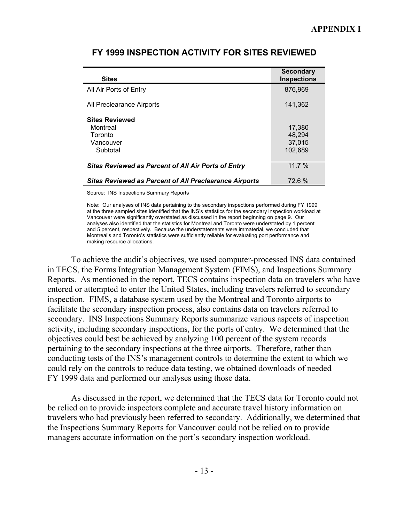| <b>Sites</b>                                                  | <b>Secondary</b><br><b>Inspections</b> |
|---------------------------------------------------------------|----------------------------------------|
| All Air Ports of Entry                                        | 876,969                                |
| All Preclearance Airports                                     | 141,362                                |
| <b>Sites Reviewed</b>                                         |                                        |
| Montreal                                                      | 17,380                                 |
| Toronto                                                       | 48.294                                 |
| Vancouver                                                     | 37.015                                 |
| Subtotal                                                      | 102,689                                |
| <b>Sites Reviewed as Percent of All Air Ports of Entry</b>    | 11.7%                                  |
| <b>Sites Reviewed as Percent of All Preclearance Airports</b> | 72.6 %                                 |

# **FY 1999 INSPECTION ACTIVITY FOR SITES REVIEWED**

Source: INS Inspections Summary Reports

Note: Our analyses of INS data pertaining to the secondary inspections performed during FY 1999 at the three sampled sites identified that the INS's statistics for the secondary inspection workload at Vancouver were significantly overstated as discussed in the report beginning on page 9. Our analyses also identified that the statistics for Montreal and Toronto were understated by 1 percent and 5 percent, respectively. Because the understatements were immaterial, we concluded that Montreal's and Toronto's statistics were sufficiently reliable for evaluating port performance and making resource allocations.

To achieve the audit's objectives, we used computer-processed INS data contained in TECS, the Forms Integration Management System (FIMS), and Inspections Summary Reports. As mentioned in the report, TECS contains inspection data on travelers who have entered or attempted to enter the United States, including travelers referred to secondary inspection. FIMS, a database system used by the Montreal and Toronto airports to facilitate the secondary inspection process, also contains data on travelers referred to secondary. INS Inspections Summary Reports summarize various aspects of inspection activity, including secondary inspections, for the ports of entry. We determined that the objectives could best be achieved by analyzing 100 percent of the system records pertaining to the secondary inspections at the three airports. Therefore, rather than conducting tests of the INS's management controls to determine the extent to which we could rely on the controls to reduce data testing, we obtained downloads of needed FY 1999 data and performed our analyses using those data.

As discussed in the report, we determined that the TECS data for Toronto could not be relied on to provide inspectors complete and accurate travel history information on travelers who had previously been referred to secondary. Additionally, we determined that the Inspections Summary Reports for Vancouver could not be relied on to provide managers accurate information on the port's secondary inspection workload.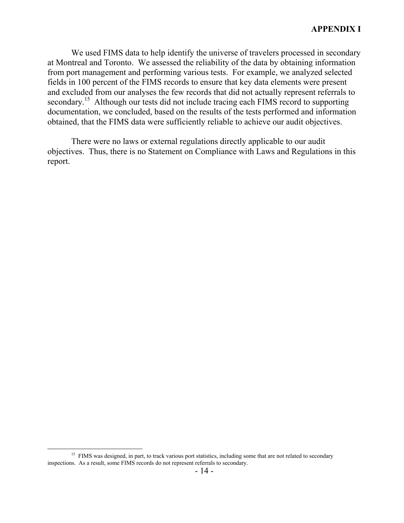We used FIMS data to help identify the universe of travelers processed in secondary at Montreal and Toronto. We assessed the reliability of the data by obtaining information from port management and performing various tests. For example, we analyzed selected fields in 100 percent of the FIMS records to ensure that key data elements were present and excluded from our analyses the few records that did not actually represent referrals to secondary.<sup>15</sup> Although our tests did not include tracing each FIMS record to supporting documentation, we concluded, based on the results of the tests performed and information obtained, that the FIMS data were sufficiently reliable to achieve our audit objectives.

There were no laws or external regulations directly applicable to our audit objectives. Thus, there is no Statement on Compliance with Laws and Regulations in this report.

 $\overline{a}$ 

<span id="page-17-0"></span><sup>&</sup>lt;sup>15</sup> FIMS was designed, in part, to track various port statistics, including some that are not related to secondary inspections. As a result, some FIMS records do not represent referrals to secondary.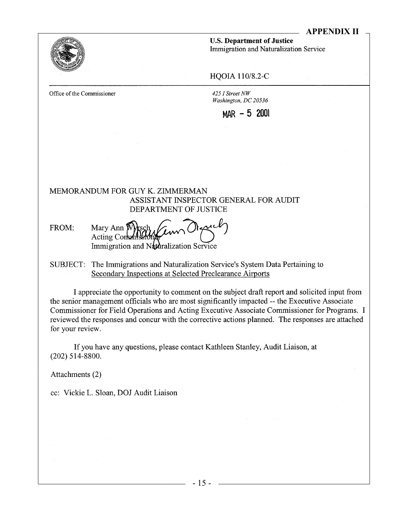

**U.S. Department of Justice** 

Immigration and Naturalization Service

## HQOIA 110/8.2-C

Office of the Commissioner

425 I Street NW Washington, DC 20536

 $MAR - 5$  2001

## MEMORANDUM FOR GUY K. ZIMMERMAN ASSISTANT INSPECTOR GENERAL FOR AUDIT DEPARTMENT OF JUSTICE

- FROM: Mary Ann  $\not\!\!\!\!\nabla$ Acting Commis Immigration and Naturalization Service
- SUBJECT: The Immigrations and Naturalization Service's System Data Pertaining to Secondary Inspections at Selected Preclearance Airports

I appreciate the opportunity to comment on the subject draft report and solicited input from the senior management officials who are most significantly impacted -- the Executive Associate Commissioner for Field Operations and Acting Executive Associate Commissioner for Programs. I reviewed the responses and concur with the corrective actions planned. The responses are attached for your review.

If you have any questions, please contact Kathleen Stanley, Audit Liaison, at  $(202)$  514-8800.

Attachments (2)

cc: Vickie L. Sloan, DOJ Audit Liaison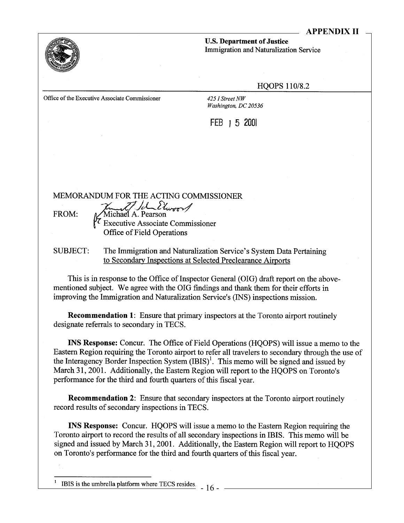

**U.S. Department of Justice Immigration and Naturalization Service** 

#### **HQOPS 110/8.2**

Office of the Executive Associate Commissioner

425 I Street NW Washington, DC 20536

FEB 1 5 2001

MEMORANDUM FOR THE ACTING COMMISSIONER

FROM:

Kunst Jel Elwood

**Office of Field Operations** 

**SUBJECT:** The Immigration and Naturalization Service's System Data Pertaining to Secondary Inspections at Selected Preclearance Airports

This is in response to the Office of Inspector General (OIG) draft report on the abovementioned subject. We agree with the OIG findings and thank them for their efforts in improving the Immigration and Naturalization Service's (INS) inspections mission.

**Recommendation 1:** Ensure that primary inspectors at the Toronto airport routinely designate referrals to secondary in TECS.

**INS Response:** Concur. The Office of Field Operations (HQOPS) will issue a memo to the Eastern Region requiring the Toronto airport to refer all travelers to secondary through the use of the Interagency Border Inspection System (IBIS)<sup>1</sup>. This memo will be signed and issued by March 31, 2001. Additionally, the Eastern Region will report to the HQOPS on Toronto's performance for the third and fourth quarters of this fiscal year.

**Recommendation 2:** Ensure that secondary inspectors at the Toronto airport routinely record results of secondary inspections in TECS.

**INS Response:** Concur. HQOPS will issue a memo to the Eastern Region requiring the Toronto airport to record the results of all secondary inspections in IBIS. This memo will be signed and issued by March 31, 2001. Additionally, the Eastern Region will report to HOOPS on Toronto's performance for the third and fourth quarters of this fiscal year.

IBIS is the umbrella platform where TECS resides.  $-16 -$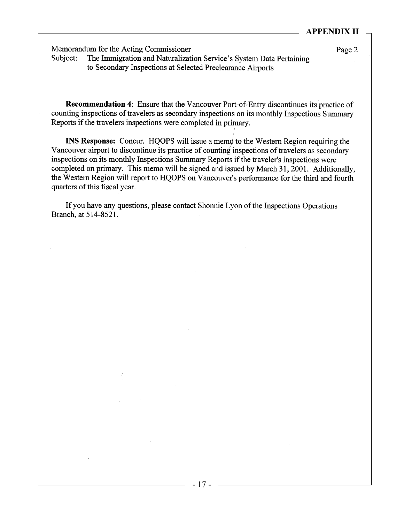## **APPENDIX II**

Memorandum for the Acting Commissioner

Subject: The Immigration and Naturalization Service's System Data Pertaining to Secondary Inspections at Selected Preclearance Airports

Page 2

**Recommendation 4:** Ensure that the Vancouver Port-of-Entry discontinues its practice of counting inspections of travelers as secondary inspections on its monthly Inspections Summary Reports if the travelers inspections were completed in primary.

**INS Response:** Concur. HQOPS will issue a memo to the Western Region requiring the Vancouver airport to discontinue its practice of counting inspections of travelers as secondary inspections on its monthly Inspections Summary Reports if the traveler's inspections were completed on primary. This memo will be signed and issued by March 31, 2001. Additionally, the Western Region will report to HQOPS on Vancouver's performance for the third and fourth quarters of this fiscal year.

If you have any questions, please contact Shonnie Lyon of the Inspections Operations Branch, at 514-8521.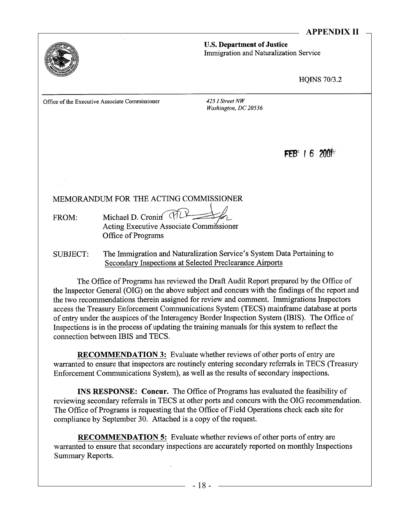## **APPENDIX II**



**U.S. Department of Justice** Immigration and Naturalization Service

**HQINS 70/3.2** 

Office of the Executive Associate Commissioner

425 I Street NW Washington, DC 20536

 $FEB' + 6$  2001

#### MEMORANDUM FOR THE ACTING COMMISSIONER

Michael D. Cronin TILL FROM: Acting Executive Associate Commissioner Office of Programs

The Immigration and Naturalization Service's System Data Pertaining to **SUBJECT:** Secondary Inspections at Selected Preclearance Airports

The Office of Programs has reviewed the Draft Audit Report prepared by the Office of the Inspector General (OIG) on the above subject and concurs with the findings of the report and the two recommendations therein assigned for review and comment. Immigrations Inspectors access the Treasury Enforcement Communications System (TECS) mainframe database at ports of entry under the auspices of the Interagency Border Inspection System (IBIS). The Office of Inspections is in the process of updating the training manuals for this system to reflect the connection between IBIS and TECS.

**RECOMMENDATION 3:** Evaluate whether reviews of other ports of entry are warranted to ensure that inspectors are routinely entering secondary referrals in TECS (Treasury Enforcement Communications System), as well as the results of secondary inspections.

**INS RESPONSE:** Concur. The Office of Programs has evaluated the feasibility of reviewing secondary referrals in TECS at other ports and concurs with the OIG recommendation. The Office of Programs is requesting that the Office of Field Operations check each site for compliance by September 30. Attached is a copy of the request.

**RECOMMENDATION 5:** Evaluate whether reviews of other ports of entry are warranted to ensure that secondary inspections are accurately reported on monthly Inspections Summary Reports.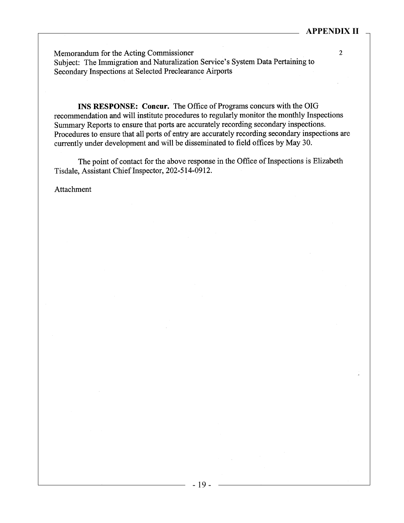$\overline{2}$ 

Memorandum for the Acting Commissioner Subject: The Immigration and Naturalization Service's System Data Pertaining to Secondary Inspections at Selected Preclearance Airports

INS RESPONSE: Concur. The Office of Programs concurs with the OIG recommendation and will institute procedures to regularly monitor the monthly Inspections Summary Reports to ensure that ports are accurately recording secondary inspections. Procedures to ensure that all ports of entry are accurately recording secondary inspections are currently under development and will be disseminated to field offices by May 30.

The point of contact for the above response in the Office of Inspections is Elizabeth Tisdale, Assistant Chief Inspector, 202-514-0912.

Attachment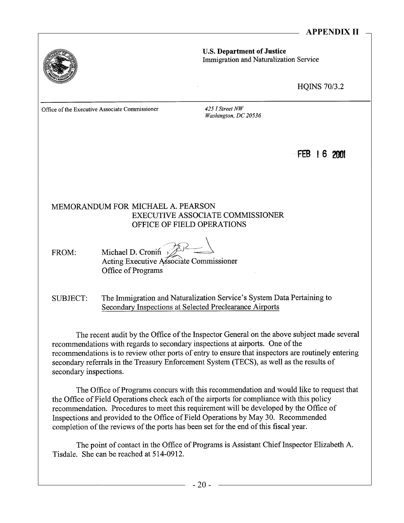## **APPENDIX II**



**U.S. Department of Justice** Immigration and Naturalization Service

**HQINS 70/3.2** 

Office of the Executive Associate Commissioner

425 I Street NW Washington, DC 20536

## FEB 16 2001

#### MEMORANDUM FOR MICHAEL A. PEARSON **EXECUTIVE ASSOCIATE COMMISSIONER** OFFICE OF FIELD OPERATIONS

Michael D. Cronin y FROM: Acting Executive Associate Commissioner Office of Programs

The Immigration and Naturalization Service's System Data Pertaining to SUBJECT: Secondary Inspections at Selected Preclearance Airports

The recent audit by the Office of the Inspector General on the above subject made several recommendations with regards to secondary inspections at airports. One of the recommendations is to review other ports of entry to ensure that inspectors are routinely entering secondary referrals in the Treasury Enforcement System (TECS), as well as the results of secondary inspections.

The Office of Programs concurs with this recommendation and would like to request that the Office of Field Operations check each of the airports for compliance with this policy recommendation. Procedures to meet this requirement will be developed by the Office of Inspections and provided to the Office of Field Operations by May 30. Recommended completion of the reviews of the ports has been set for the end of this fiscal year.

The point of contact in the Office of Programs is Assistant Chief Inspector Elizabeth A. Tisdale. She can be reached at 514-0912.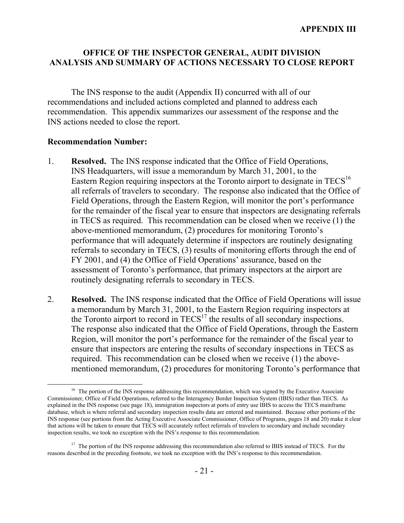# **OFFICE OF THE INSPECTOR GENERAL, AUDIT DIVISION ANALYSIS AND SUMMARY OF ACTIONS NECESSARY TO CLOSE REPORT**

The INS response to the audit (Appendix II) concurred with all of our recommendations and included actions completed and planned to address each recommendation. This appendix summarizes our assessment of the response and the INS actions needed to close the report.

## **Recommendation Number:**

<span id="page-24-0"></span> $\overline{a}$ 

- 1. **Resolved.** The INS response indicated that the Office of Field Operations, INS Headquarters, will issue a memorandum by March 31, 2001, to the Eastern Region requiring inspectors at the Toronto airport to designate in  $TECS<sup>16</sup>$  $TECS<sup>16</sup>$  $TECS<sup>16</sup>$ all referrals of travelers to secondary. The response also indicated that the Office of Field Operations, through the Eastern Region, will monitor the port's performance for the remainder of the fiscal year to ensure that inspectors are designating referrals in TECS as required. This recommendation can be closed when we receive (1) the above-mentioned memorandum, (2) procedures for monitoring Toronto's performance that will adequately determine if inspectors are routinely designating referrals to secondary in TECS, (3) results of monitoring efforts through the end of FY 2001, and (4) the Office of Field Operations' assurance, based on the assessment of Toronto's performance, that primary inspectors at the airport are routinely designating referrals to secondary in TECS.
- 2. **Resolved.** The INS response indicated that the Office of Field Operations will issue a memorandum by March 31, 2001, to the Eastern Region requiring inspectors at the Toronto airport to record in  $TECS<sup>17</sup>$  the results of all secondary inspections. The response also indicated that the Office of Field Operations, through the Eastern Region, will monitor the port's performance for the remainder of the fiscal year to ensure that inspectors are entering the results of secondary inspections in TECS as required. This recommendation can be closed when we receive (1) the abovementioned memorandum, (2) procedures for monitoring Toronto's performance that

<sup>&</sup>lt;sup>16</sup> The portion of the INS response addressing this recommendation, which was signed by the Executive Associate Commissioner, Office of Field Operations, referred to the Interagency Border Inspection System (IBIS) rather than TECS. As explained in the INS response (see page 18), immigration inspectors at ports of entry use IBIS to access the TECS mainframe database, which is where referral and secondary inspection results data are entered and maintained. Because other portions of the INS response (see portions from the Acting Executive Associate Commissioner, Office of Programs, pages 18 and 20) make it clear that actions will be taken to ensure that TECS will accurately reflect referrals of travelers to secondary and include secondary inspection results, we took no exception with the INS's response to this recommendation.

<span id="page-24-1"></span><sup>&</sup>lt;sup>17</sup> The portion of the INS response addressing this recommendation also referred to IBIS instead of TECS. For the reasons described in the preceding footnote, we took no exception with the INS's response to this recommendation.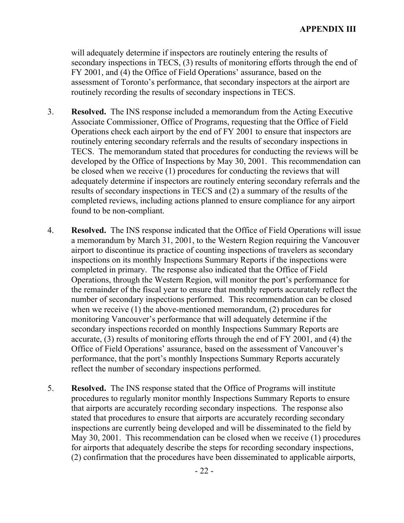will adequately determine if inspectors are routinely entering the results of secondary inspections in TECS, (3) results of monitoring efforts through the end of FY 2001, and (4) the Office of Field Operations' assurance, based on the assessment of Toronto's performance, that secondary inspectors at the airport are routinely recording the results of secondary inspections in TECS.

- 3. **Resolved.** The INS response included a memorandum from the Acting Executive Associate Commissioner, Office of Programs, requesting that the Office of Field Operations check each airport by the end of FY 2001 to ensure that inspectors are routinely entering secondary referrals and the results of secondary inspections in TECS. The memorandum stated that procedures for conducting the reviews will be developed by the Office of Inspections by May 30, 2001. This recommendation can be closed when we receive (1) procedures for conducting the reviews that will adequately determine if inspectors are routinely entering secondary referrals and the results of secondary inspections in TECS and (2) a summary of the results of the completed reviews, including actions planned to ensure compliance for any airport found to be non-compliant.
- 4. **Resolved.** The INS response indicated that the Office of Field Operations will issue a memorandum by March 31, 2001, to the Western Region requiring the Vancouver airport to discontinue its practice of counting inspections of travelers as secondary inspections on its monthly Inspections Summary Reports if the inspections were completed in primary. The response also indicated that the Office of Field Operations, through the Western Region, will monitor the port's performance for the remainder of the fiscal year to ensure that monthly reports accurately reflect the number of secondary inspections performed. This recommendation can be closed when we receive (1) the above-mentioned memorandum, (2) procedures for monitoring Vancouver's performance that will adequately determine if the secondary inspections recorded on monthly Inspections Summary Reports are accurate, (3) results of monitoring efforts through the end of FY 2001, and (4) the Office of Field Operations' assurance, based on the assessment of Vancouver's performance, that the port's monthly Inspections Summary Reports accurately reflect the number of secondary inspections performed.
- 5. **Resolved.** The INS response stated that the Office of Programs will institute procedures to regularly monitor monthly Inspections Summary Reports to ensure that airports are accurately recording secondary inspections. The response also stated that procedures to ensure that airports are accurately recording secondary inspections are currently being developed and will be disseminated to the field by May 30, 2001. This recommendation can be closed when we receive (1) procedures for airports that adequately describe the steps for recording secondary inspections, (2) confirmation that the procedures have been disseminated to applicable airports,